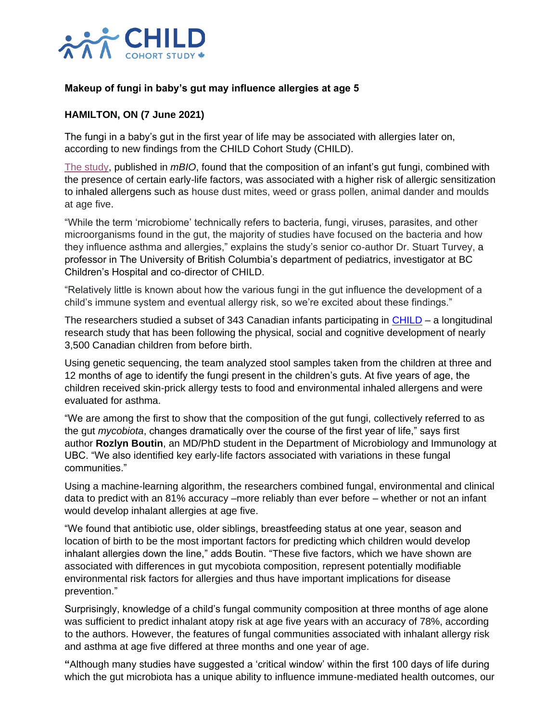

## **Makeup of fungi in baby's gut may influence allergies at age 5**

## **HAMILTON, ON (7 June 2021)**

The fungi in a baby's gut in the first year of life may be associated with allergies later on, according to new findings from the CHILD Cohort Study (CHILD).

[The study,](https://journals.asm.org/doi/10.1128/mBio.03396-20) published in *mBIO*, found that the composition of an infant's gut fungi, combined with the presence of certain early-life factors, was associated with a higher risk of allergic sensitization to inhaled allergens such as house dust mites, weed or grass pollen, animal dander and moulds at age five.

"While the term 'microbiome' technically refers to bacteria, fungi, viruses, parasites, and other microorganisms found in the gut, the majority of studies have focused on the bacteria and how they influence asthma and allergies," explains the study's senior co-author Dr. Stuart Turvey, a professor in The University of British Columbia's department of pediatrics, investigator at BC Children's Hospital and co-director of CHILD.

"Relatively little is known about how the various fungi in the gut influence the development of a child's immune system and eventual allergy risk, so we're excited about these findings."

The researchers studied a subset of 343 Canadian infants participating in [CHILD](https://childstudy.ca/) – a longitudinal research study that has been following the physical, social and cognitive development of nearly 3,500 Canadian children from before birth.

Using genetic sequencing, the team analyzed stool samples taken from the children at three and 12 months of age to identify the fungi present in the children's guts. At five years of age, the children received skin-prick allergy tests to food and environmental inhaled allergens and were evaluated for asthma.

"We are among the first to show that the composition of the gut fungi, collectively referred to as the gut *mycobiota*, changes dramatically over the course of the first year of life," says first author **Rozlyn Boutin**, an MD/PhD student in the Department of Microbiology and Immunology at UBC. "We also identified key early-life factors associated with variations in these fungal communities."

Using a machine-learning algorithm, the researchers combined fungal, environmental and clinical data to predict with an 81% accuracy –more reliably than ever before – whether or not an infant would develop inhalant allergies at age five.

"We found that antibiotic use, older siblings, breastfeeding status at one year, season and location of birth to be the most important factors for predicting which children would develop inhalant allergies down the line," adds Boutin. "These five factors, which we have shown are associated with differences in gut mycobiota composition, represent potentially modifiable environmental risk factors for allergies and thus have important implications for disease prevention."

Surprisingly, knowledge of a child's fungal community composition at three months of age alone was sufficient to predict inhalant atopy risk at age five years with an accuracy of 78%, according to the authors. However, the features of fungal communities associated with inhalant allergy risk and asthma at age five differed at three months and one year of age.

**"**Although many studies have suggested a 'critical window' within the first 100 days of life during which the gut microbiota has a unique ability to influence immune-mediated health outcomes, our